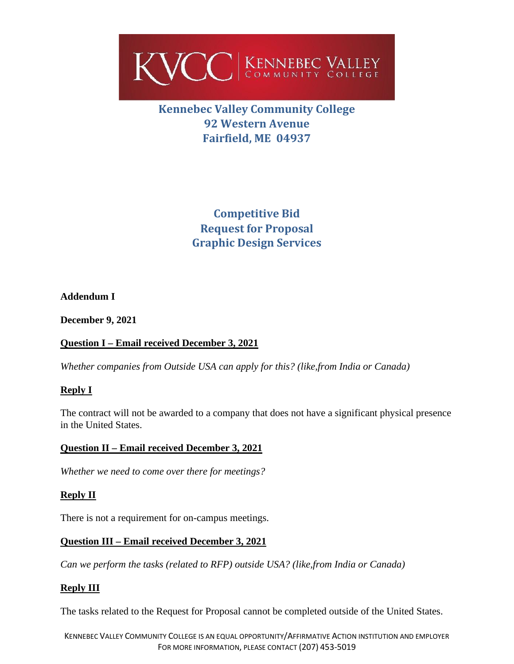

# **Kennebec Valley Community College 92 Western Avenue Fairfield, ME 04937**

**Competitive Bid Request for Proposal Graphic Design Services**

#### **Addendum I**

**December 9, 2021**

## **Question I – Email received December 3, 2021**

*Whether companies from Outside USA can apply for this? (like,from India or Canada)*

#### **Reply I**

The contract will not be awarded to a company that does not have a significant physical presence in the United States.

#### **Question II – Email received December 3, 2021**

*Whether we need to come over there for meetings?*

#### **Reply II**

There is not a requirement for on-campus meetings.

#### **Question III – Email received December 3, 2021**

*Can we perform the tasks (related to RFP) outside USA? (like,from India or Canada)*

#### **Reply III**

The tasks related to the Request for Proposal cannot be completed outside of the United States.

KENNEBEC VALLEY COMMUNITY COLLEGE IS AN EQUAL OPPORTUNITY/AFFIRMATIVE ACTION INSTITUTION AND EMPLOYER FOR MORE INFORMATION, PLEASE CONTACT (207) 453-5019